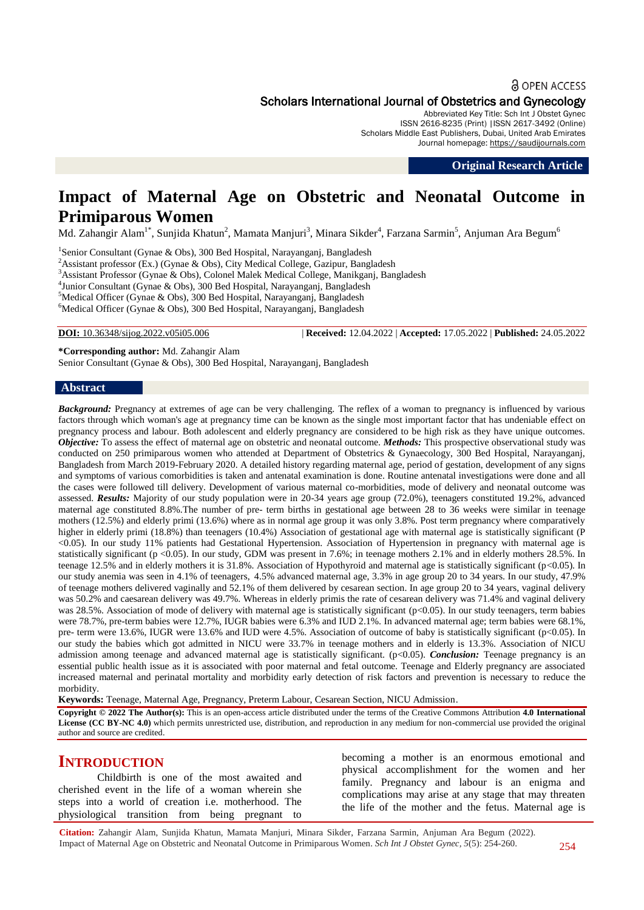#### **a** OPEN ACCESS

# Scholars International Journal of Obstetrics and Gynecology

Abbreviated Key Title: Sch Int J Obstet Gynec ISSN 2616-8235 (Print) |ISSN 2617-3492 (Online) Scholars Middle East Publishers, Dubai, United Arab Emirates Journal homepage: [https://saudijournals.com](https://saudijournals.com/sijog)

**Original Research Article**

# **Impact of Maternal Age on Obstetric and Neonatal Outcome in Primiparous Women**

Md. Zahangir Alam $^{1*}$ , Sunjida Khatun $^2$ , Mamata Manjuri $^3$ , Minara Sikder $^4$ , Farzana Sarmin $^5$ , Anjuman Ara Begum $^6$ 

<sup>1</sup>Senior Consultant (Gynae & Obs), 300 Bed Hospital, Narayanganj, Bangladesh <sup>2</sup>Assistant professor (Ex.) (Gynae & Obs), City Medical College, Gazipur, Bangladesh Assistant Professor (Gynae & Obs), Colonel Malek Medical College, Manikganj, Bangladesh Junior Consultant (Gynae & Obs), 300 Bed Hospital, Narayanganj, Bangladesh Medical Officer (Gynae & Obs), 300 Bed Hospital, Narayanganj, Bangladesh Medical Officer (Gynae & Obs), 300 Bed Hospital, Narayanganj, Bangladesh

**DOI:** 10.36348/sijog.2022.v05i05.006 | **Received:** 12.04.2022 | **Accepted:** 17.05.2022 | **Published:** 24.05.2022

**\*Corresponding author:** Md. Zahangir Alam Senior Consultant (Gynae & Obs), 300 Bed Hospital, Narayanganj, Bangladesh

#### **Abstract**

*Background:* Pregnancy at extremes of age can be very challenging. The reflex of a woman to pregnancy is influenced by various factors through which woman's age at pregnancy time can be known as the single most important factor that has undeniable effect on pregnancy process and labour. Both adolescent and elderly pregnancy are considered to be high risk as they have unique outcomes. *Objective:* To assess the effect of maternal age on obstetric and neonatal outcome. *Methods:* This prospective observational study was conducted on 250 primiparous women who attended at Department of Obstetrics & Gynaecology, 300 Bed Hospital, Narayanganj, Bangladesh from March 2019-February 2020. A detailed history regarding maternal age, period of gestation, development of any signs and symptoms of various comorbidities is taken and antenatal examination is done. Routine antenatal investigations were done and all the cases were followed till delivery. Development of various maternal co-morbidities, mode of delivery and neonatal outcome was assessed. *Results:* Majority of our study population were in 20-34 years age group (72.0%), teenagers constituted 19.2%, advanced maternal age constituted 8.8%.The number of pre- term births in gestational age between 28 to 36 weeks were similar in teenage mothers (12.5%) and elderly primi (13.6%) where as in normal age group it was only 3.8%. Post term pregnancy where comparatively higher in elderly primi (18.8%) than teenagers (10.4%) Association of gestational age with maternal age is statistically significant (P <0.05). In our study 11% patients had Gestational Hypertension. Association of Hypertension in pregnancy with maternal age is statistically significant (p <0.05). In our study, GDM was present in 7.6%; in teenage mothers 2.1% and in elderly mothers 28.5%. In teenage 12.5% and in elderly mothers it is 31.8%. Association of Hypothyroid and maternal age is statistically significant (p<0.05). In our study anemia was seen in 4.1% of teenagers, 4.5% advanced maternal age, 3.3% in age group 20 to 34 years. In our study, 47.9% of teenage mothers delivered vaginally and 52.1% of them delivered by cesarean section. In age group 20 to 34 years, vaginal delivery was 50.2% and caesarean delivery was 49.7%. Whereas in elderly primis the rate of cesarean delivery was 71.4% and vaginal delivery was 28.5%. Association of mode of delivery with maternal age is statistically significant (p<0.05). In our study teenagers, term babies were 78.7%, pre-term babies were 12.7%, IUGR babies were 6.3% and IUD 2.1%. In advanced maternal age; term babies were 68.1%, pre- term were 13.6%, IUGR were 13.6% and IUD were 4.5%. Association of outcome of baby is statistically significant (p<0.05). In our study the babies which got admitted in NICU were 33.7% in teenage mothers and in elderly is 13.3%. Association of NICU admission among teenage and advanced maternal age is statistically significant. (p<0.05). *Conclusion:* Teenage pregnancy is an essential public health issue as it is associated with poor maternal and fetal outcome. Teenage and Elderly pregnancy are associated increased maternal and perinatal mortality and morbidity early detection of risk factors and prevention is necessary to reduce the morbidity.

**Keywords:** Teenage, Maternal Age, Pregnancy, Preterm Labour, Cesarean Section, NICU Admission.

**Copyright © 2022 The Author(s):** This is an open-access article distributed under the terms of the Creative Commons Attribution **4.0 International License (CC BY-NC 4.0)** which permits unrestricted use, distribution, and reproduction in any medium for non-commercial use provided the original author and source are credited.

# **INTRODUCTION**

Childbirth is one of the most awaited and cherished event in the life of a woman wherein she steps into a world of creation i.e. motherhood. The physiological transition from being pregnant to

becoming a mother is an enormous emotional and physical accomplishment for the women and her family. Pregnancy and labour is an enigma and complications may arise at any stage that may threaten the life of the mother and the fetus. Maternal age is

**Citation:** Zahangir Alam, Sunjida Khatun, Mamata Manjuri, Minara Sikder, Farzana Sarmin, Anjuman Ara Begum (2022). Impact of Maternal Age on Obstetric and Neonatal Outcome in Primiparous Women. *Sch Int J Obstet Gynec, 5*(5): 254-260.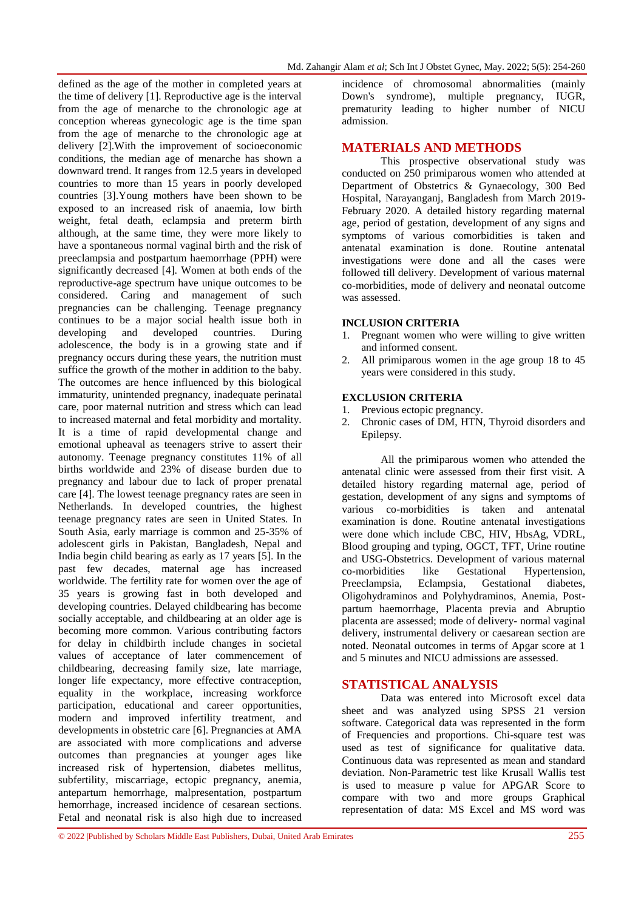defined as the age of the mother in completed years at the time of delivery [1]. Reproductive age is the interval from the age of menarche to the chronologic age at conception whereas gynecologic age is the time span from the age of menarche to the chronologic age at delivery [2].With the improvement of socioeconomic conditions, the median age of menarche has shown a downward trend. It ranges from 12.5 years in developed countries to more than 15 years in poorly developed countries [3].Young mothers have been shown to be exposed to an increased risk of anaemia, low birth weight, fetal death, eclampsia and preterm birth although, at the same time, they were more likely to have a spontaneous normal vaginal birth and the risk of preeclampsia and postpartum haemorrhage (PPH) were significantly decreased [4]. Women at both ends of the reproductive-age spectrum have unique outcomes to be considered. Caring and management of such pregnancies can be challenging. Teenage pregnancy continues to be a major social health issue both in developing and developed countries. During adolescence, the body is in a growing state and if pregnancy occurs during these years, the nutrition must suffice the growth of the mother in addition to the baby. The outcomes are hence influenced by this biological immaturity, unintended pregnancy, inadequate perinatal care, poor maternal nutrition and stress which can lead to increased maternal and fetal morbidity and mortality. It is a time of rapid developmental change and emotional upheaval as teenagers strive to assert their autonomy. Teenage pregnancy constitutes 11% of all births worldwide and 23% of disease burden due to pregnancy and labour due to lack of proper prenatal care [4]. The lowest teenage pregnancy rates are seen in Netherlands. In developed countries, the highest teenage pregnancy rates are seen in United States. In South Asia, early marriage is common and 25-35% of adolescent girls in Pakistan, Bangladesh, Nepal and India begin child bearing as early as 17 years [5]. In the past few decades, maternal age has increased worldwide. The fertility rate for women over the age of 35 years is growing fast in both developed and developing countries. Delayed childbearing has become socially acceptable, and childbearing at an older age is becoming more common. Various contributing factors for delay in childbirth include changes in societal values of acceptance of later commencement of childbearing, decreasing family size, late marriage, longer life expectancy, more effective contraception, equality in the workplace, increasing workforce participation, educational and career opportunities, modern and improved infertility treatment, and developments in obstetric care [6]. Pregnancies at AMA are associated with more complications and adverse outcomes than pregnancies at younger ages like increased risk of hypertension, diabetes mellitus, subfertility, miscarriage, ectopic pregnancy, anemia, antepartum hemorrhage, malpresentation, postpartum hemorrhage, increased incidence of cesarean sections. Fetal and neonatal risk is also high due to increased

incidence of chromosomal abnormalities (mainly Down's syndrome), multiple pregnancy, IUGR, prematurity leading to higher number of NICU admission.

# **MATERIALS AND METHODS**

This prospective observational study was conducted on 250 primiparous women who attended at Department of Obstetrics & Gynaecology, 300 Bed Hospital, Narayanganj, Bangladesh from March 2019- February 2020. A detailed history regarding maternal age, period of gestation, development of any signs and symptoms of various comorbidities is taken and antenatal examination is done. Routine antenatal investigations were done and all the cases were followed till delivery. Development of various maternal co-morbidities, mode of delivery and neonatal outcome was assessed.

#### **INCLUSION CRITERIA**

- 1. Pregnant women who were willing to give written and informed consent.
- 2. All primiparous women in the age group 18 to 45 years were considered in this study.

#### **EXCLUSION CRITERIA**

- 1. Previous ectopic pregnancy.
- 2. Chronic cases of DM, HTN, Thyroid disorders and Epilepsy.

All the primiparous women who attended the antenatal clinic were assessed from their first visit. A detailed history regarding maternal age, period of gestation, development of any signs and symptoms of various co-morbidities is taken and antenatal examination is done. Routine antenatal investigations were done which include CBC, HIV, HbsAg, VDRL, Blood grouping and typing, OGCT, TFT, Urine routine and USG-Obstetrics. Development of various maternal co-morbidities like Gestational Hypertension, Preeclampsia, Eclampsia, Gestational diabetes, Oligohydraminos and Polyhydraminos, Anemia, Postpartum haemorrhage, Placenta previa and Abruptio placenta are assessed; mode of delivery- normal vaginal delivery, instrumental delivery or caesarean section are noted. Neonatal outcomes in terms of Apgar score at 1 and 5 minutes and NICU admissions are assessed.

### **STATISTICAL ANALYSIS**

Data was entered into Microsoft excel data sheet and was analyzed using SPSS 21 version software. Categorical data was represented in the form of Frequencies and proportions. Chi-square test was used as test of significance for qualitative data. Continuous data was represented as mean and standard deviation. Non-Parametric test like Krusall Wallis test is used to measure p value for APGAR Score to compare with two and more groups Graphical representation of data: MS Excel and MS word was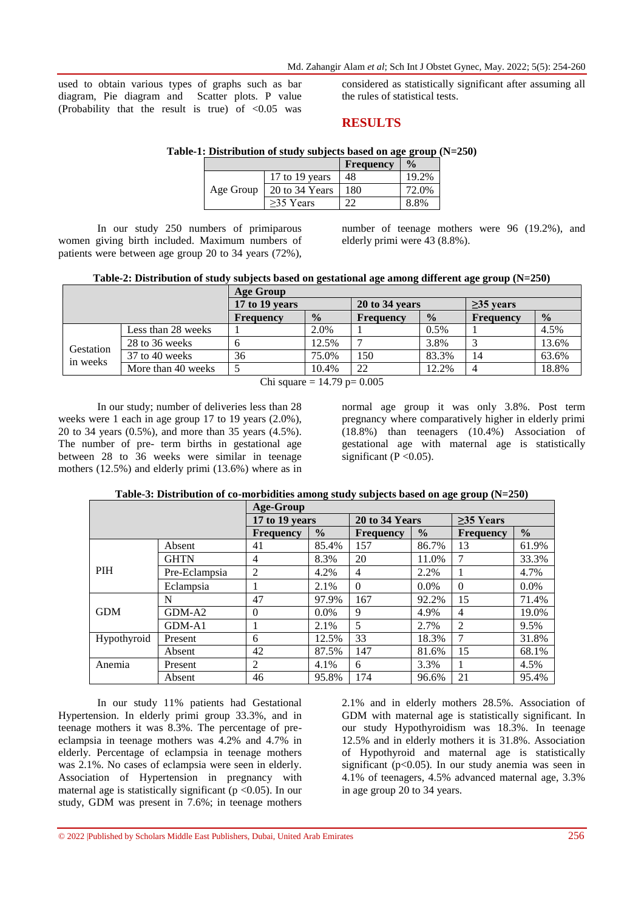used to obtain various types of graphs such as bar diagram, Pie diagram and Scatter plots. P value (Probability that the result is true) of  $\langle 0.05 \rangle$  was considered as statistically significant after assuming all the rules of statistical tests.

## **RESULTS**

#### **Table-1: Distribution of study subjects based on age group (N=250)**

|           |                | <b>Frequency</b> | $\frac{0}{0}$ |
|-----------|----------------|------------------|---------------|
|           | 17 to 19 years | 48               | 19.2%         |
| Age Group | 20 to 34 Years | 180              | 72.0%         |
|           | $>35$ Years    | າາ               | 8.8%          |

In our study 250 numbers of primiparous women giving birth included. Maximum numbers of patients were between age group 20 to 34 years (72%),

number of teenage mothers were 96 (19.2%), and elderly primi were 43 (8.8%).

| Table-2: Distribution of study subjects based on gestational age among different age group (N=250) |
|----------------------------------------------------------------------------------------------------|
|----------------------------------------------------------------------------------------------------|

|                               |                    | Age Group      |               |                  |               |                 |               |  |
|-------------------------------|--------------------|----------------|---------------|------------------|---------------|-----------------|---------------|--|
|                               |                    | 17 to 19 years |               | 20 to 34 years   |               | $\geq$ 35 years |               |  |
|                               |                    | Frequency      | $\frac{0}{0}$ | <b>Frequency</b> | $\frac{0}{0}$ | Frequency       | $\frac{0}{0}$ |  |
|                               | Less than 28 weeks |                | 2.0%          |                  | 0.5%          |                 | 4.5%          |  |
| Gestation<br>in weeks         | 28 to 36 weeks     |                | 12.5%         |                  | 3.8%          |                 | 13.6%         |  |
|                               | 37 to 40 weeks     | 36             | 75.0%         | 150              | 83.3%         | 14              | 63.6%         |  |
|                               | More than 40 weeks |                | 10.4%         | 22               | 12.2%         | 4               | 18.8%         |  |
| $CL:$ $2.2222 + 1470 = 0.005$ |                    |                |               |                  |               |                 |               |  |

Chi square =  $14.79$  p=  $0.005$ 

In our study; number of deliveries less than 28 weeks were 1 each in age group 17 to 19 years (2.0%), 20 to 34 years (0.5%), and more than 35 years (4.5%). The number of pre- term births in gestational age between 28 to 36 weeks were similar in teenage mothers (12.5%) and elderly primi (13.6%) where as in normal age group it was only 3.8%. Post term pregnancy where comparatively higher in elderly primi (18.8%) than teenagers (10.4%) Association of gestational age with maternal age is statistically significant ( $P < 0.05$ ).

| Table-3: Distribution of co-morbidities among study subjects based on age group $(N=250)$ |  |
|-------------------------------------------------------------------------------------------|--|
|                                                                                           |  |

|             |               | Age-Group        |               |                  |               |                  |               |  |
|-------------|---------------|------------------|---------------|------------------|---------------|------------------|---------------|--|
|             |               | 17 to 19 years   |               | 20 to 34 Years   |               | >35 Years        |               |  |
|             |               | <b>Frequency</b> | $\frac{0}{0}$ | <b>Frequency</b> | $\frac{0}{0}$ | <b>Frequency</b> | $\frac{0}{0}$ |  |
|             | Absent        | 41               | 85.4%         | 157              | 86.7%         | 13               | 61.9%         |  |
|             | <b>GHTN</b>   | $\overline{4}$   | 8.3%          | 20               | 11.0%         | 7                | 33.3%         |  |
| <b>PIH</b>  | Pre-Eclampsia | 2                | 4.2%          | $\overline{4}$   | 2.2%          |                  | 4.7%          |  |
|             | Eclampsia     | 1                | 2.1%          | $\Omega$         | $0.0\%$       | $\Omega$         | $0.0\%$       |  |
|             | N             | 47               | 97.9%         | 167              | 92.2%         | 15               | 71.4%         |  |
| <b>GDM</b>  | GDM-A2        | $\theta$         | $0.0\%$       | 9                | 4.9%          | $\overline{4}$   | 19.0%         |  |
|             | GDM-A1        | 1                | 2.1%          | 5                | 2.7%          | 2                | 9.5%          |  |
| Hypothyroid | Present       | 6                | 12.5%         | 33               | 18.3%         | 7                | 31.8%         |  |
|             | Absent        | 42               | 87.5%         | 147              | 81.6%         | 15               | 68.1%         |  |
| Anemia      | Present       | 2                | 4.1%          | 6                | 3.3%          |                  | 4.5%          |  |
|             | Absent        | 46               | 95.8%         | 174              | 96.6%         | 21               | 95.4%         |  |

In our study 11% patients had Gestational Hypertension. In elderly primi group 33.3%, and in teenage mothers it was 8.3%. The percentage of preeclampsia in teenage mothers was 4.2% and 4.7% in elderly. Percentage of eclampsia in teenage mothers was 2.1%. No cases of eclampsia were seen in elderly. Association of Hypertension in pregnancy with maternal age is statistically significant  $(p < 0.05)$ . In our study, GDM was present in 7.6%; in teenage mothers

2.1% and in elderly mothers 28.5%. Association of GDM with maternal age is statistically significant. In our study Hypothyroidism was 18.3%. In teenage 12.5% and in elderly mothers it is 31.8%. Association of Hypothyroid and maternal age is statistically significant (p<0.05). In our study anemia was seen in 4.1% of teenagers, 4.5% advanced maternal age, 3.3% in age group 20 to 34 years.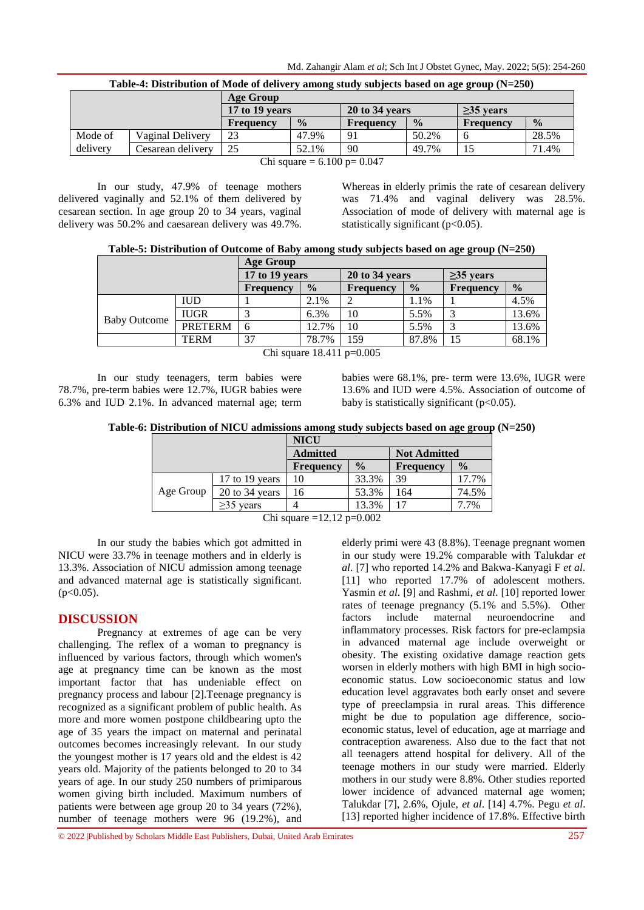|          | Table-4; Distribution of Mode of defivery among study subjects based on age group (N=250) |                  |               |                |               |                  |               |  |  |  |
|----------|-------------------------------------------------------------------------------------------|------------------|---------------|----------------|---------------|------------------|---------------|--|--|--|
|          |                                                                                           | Age Group        |               |                |               |                  |               |  |  |  |
|          |                                                                                           | 17 to 19 years   |               | 20 to 34 years |               | $\geq$ 35 years  |               |  |  |  |
|          |                                                                                           | <b>Frequency</b> | $\frac{0}{0}$ | Frequency      | $\frac{0}{0}$ | <b>Frequency</b> | $\frac{0}{0}$ |  |  |  |
| Mode of  | Vaginal Delivery                                                                          | 23               | 47.9%         | 91             | 50.2%         |                  | 28.5%         |  |  |  |
| delivery | Cesarean delivery                                                                         | 25               | 52.1%         | 90             | 49.7%         |                  | 71.4%         |  |  |  |
|          | $CL:$ $(100 - 0.047)$                                                                     |                  |               |                |               |                  |               |  |  |  |

**Table-4: Distribution of Mode of delivery among study subjects based on age group (N=250)**

Chi square =  $6.100$  p=  $0.047$ 

In our study, 47.9% of teenage mothers delivered vaginally and 52.1% of them delivered by cesarean section. In age group 20 to 34 years, vaginal delivery was 50.2% and caesarean delivery was 49.7%. Whereas in elderly primis the rate of cesarean delivery was 71.4% and vaginal delivery was 28.5%. Association of mode of delivery with maternal age is statistically significant  $(p<0.05)$ .

|                     |                | <b>Age Group</b> |               |                  |               |                                          |       |
|---------------------|----------------|------------------|---------------|------------------|---------------|------------------------------------------|-------|
|                     |                | 17 to 19 years   |               | 20 to 34 years   |               | $\geq$ 35 years<br>$\frac{0}{0}$<br>4.5% |       |
|                     |                | Frequency        | $\frac{0}{0}$ | <b>Frequency</b> | $\frac{0}{0}$ | Frequency                                |       |
|                     | <b>IUD</b>     |                  | 2.1%          |                  | 1.1%          |                                          |       |
| <b>Baby Outcome</b> | <b>IUGR</b>    |                  | 6.3%          | 10               | 5.5%          |                                          | 13.6% |
|                     | <b>PRETERM</b> | 6                | 12.7%         | 10               | 5.5%          |                                          | 13.6% |
|                     | <b>TERM</b>    | 37               | 78.7%         | 159              | 87.8%         | 15                                       | 68.1% |

Chi square 18.411 p=0.005

In our study teenagers, term babies were 78.7%, pre-term babies were 12.7%, IUGR babies were 6.3% and IUD 2.1%. In advanced maternal age; term babies were 68.1%, pre- term were 13.6%, IUGR were 13.6% and IUD were 4.5%. Association of outcome of baby is statistically significant  $(p<0.05)$ .

**Table-6: Distribution of NICU admissions among study subjects based on age group (N=250)**

|                                 |                  | <b>NICU</b>      |               |                     |               |  |  |  |
|---------------------------------|------------------|------------------|---------------|---------------------|---------------|--|--|--|
|                                 |                  | <b>Admitted</b>  |               | <b>Not Admitted</b> |               |  |  |  |
|                                 |                  | <b>Frequency</b> | $\frac{0}{0}$ | <b>Frequency</b>    | $\frac{0}{0}$ |  |  |  |
|                                 | 17 to 19 years   | 10               | 33.3%         | 39                  | 17.7%         |  |  |  |
| Age Group                       | $20$ to 34 years | 16               | 53.3%         | 164                 | 74.5%         |  |  |  |
|                                 | $>35$ vears      |                  | 13.3%         | 17                  | 7.7%          |  |  |  |
| $\sim$ $\sim$<br>10.10<br>0.002 |                  |                  |               |                     |               |  |  |  |

Chi square =12.12 p= $0.002$ 

In our study the babies which got admitted in NICU were 33.7% in teenage mothers and in elderly is 13.3%. Association of NICU admission among teenage and advanced maternal age is statistically significant.  $(p<0.05)$ .

# **DISCUSSION**

Pregnancy at extremes of age can be very challenging. The reflex of a woman to pregnancy is influenced by various factors, through which women's age at pregnancy time can be known as the most important factor that has undeniable effect on pregnancy process and labour [2].Teenage pregnancy is recognized as a significant problem of public health. As more and more women postpone childbearing upto the age of 35 years the impact on maternal and perinatal outcomes becomes increasingly relevant. In our study the youngest mother is 17 years old and the eldest is 42 years old. Majority of the patients belonged to 20 to 34 years of age. In our study 250 numbers of primiparous women giving birth included. Maximum numbers of patients were between age group 20 to 34 years (72%), number of teenage mothers were 96 (19.2%), and

elderly primi were 43 (8.8%). Teenage pregnant women in our study were 19.2% comparable with Talukdar *et al*. [7] who reported 14.2% and Bakwa-Kanyagi F *et al*. [11] who reported 17.7% of adolescent mothers. Yasmin *et al*. [9] and Rashmi, *et al*. [10] reported lower rates of teenage pregnancy (5.1% and 5.5%). Other factors include maternal neuroendocrine and inflammatory processes. Risk factors for pre-eclampsia in advanced maternal age include overweight or obesity. The existing oxidative damage reaction gets worsen in elderly mothers with high BMI in high socioeconomic status. Low socioeconomic status and low education level aggravates both early onset and severe type of preeclampsia in rural areas. This difference might be due to population age difference, socioeconomic status, level of education, age at marriage and contraception awareness. Also due to the fact that not all teenagers attend hospital for delivery. All of the teenage mothers in our study were married. Elderly mothers in our study were 8.8%. Other studies reported lower incidence of advanced maternal age women; Talukdar [7], 2.6%, Ojule, *et al*. [14] 4.7%. Pegu *et al*. [13] reported higher incidence of 17.8%. Effective birth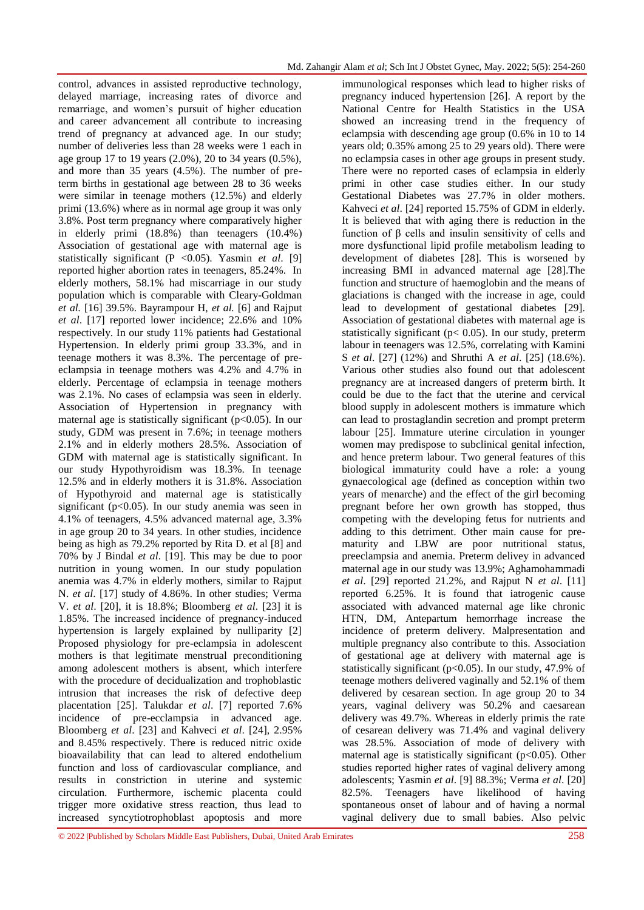control, advances in assisted reproductive technology, delayed marriage, increasing rates of divorce and remarriage, and women's pursuit of higher education and career advancement all contribute to increasing trend of pregnancy at advanced age. In our study; number of deliveries less than 28 weeks were 1 each in age group 17 to 19 years (2.0%), 20 to 34 years (0.5%), and more than 35 years (4.5%). The number of preterm births in gestational age between 28 to 36 weeks were similar in teenage mothers (12.5%) and elderly primi (13.6%) where as in normal age group it was only 3.8%. Post term pregnancy where comparatively higher in elderly primi (18.8%) than teenagers (10.4%) Association of gestational age with maternal age is statistically significant (P <0.05). Yasmin *et al*. [9] reported higher abortion rates in teenagers, 85.24%. In elderly mothers, 58.1% had miscarriage in our study population which is comparable with Cleary-Goldman *et al.* [16] 39.5%. Bayrampour H, *et al.* [6] and Rajput *et al*. [17] reported lower incidence; 22.6% and 10% respectively. In our study 11% patients had Gestational Hypertension. In elderly primi group 33.3%, and in teenage mothers it was 8.3%. The percentage of preeclampsia in teenage mothers was 4.2% and 4.7% in elderly. Percentage of eclampsia in teenage mothers was 2.1%. No cases of eclampsia was seen in elderly. Association of Hypertension in pregnancy with maternal age is statistically significant (p<0.05). In our study, GDM was present in 7.6%; in teenage mothers 2.1% and in elderly mothers 28.5%. Association of GDM with maternal age is statistically significant. In our study Hypothyroidism was 18.3%. In teenage 12.5% and in elderly mothers it is 31.8%. Association of Hypothyroid and maternal age is statistically significant ( $p<0.05$ ). In our study anemia was seen in 4.1% of teenagers, 4.5% advanced maternal age, 3.3% in age group 20 to 34 years. In other studies, incidence being as high as 79.2% reported by Rita D. et al [8] and 70% by J Bindal *et al*. [19]. This may be due to poor nutrition in young women. In our study population anemia was 4.7% in elderly mothers, similar to Rajput N. *et al*. [17] study of 4.86%. In other studies; Verma V. *et al*. [20], it is 18.8%; Bloomberg *et al*. [23] it is 1.85%. The increased incidence of pregnancy-induced hypertension is largely explained by nulliparity [2] Proposed physiology for pre-eclampsia in adolescent mothers is that legitimate menstrual preconditioning among adolescent mothers is absent, which interfere with the procedure of decidualization and trophoblastic intrusion that increases the risk of defective deep placentation [25]. Talukdar *et al*. [7] reported 7.6% incidence of pre-ecclampsia in advanced age. Bloomberg *et al*. [23] and Kahveci *et al*. [24], 2.95% and 8.45% respectively. There is reduced nitric oxide bioavailability that can lead to altered endothelium function and loss of cardiovascular compliance, and results in constriction in uterine and systemic circulation. Furthermore, ischemic placenta could trigger more oxidative stress reaction, thus lead to increased syncytiotrophoblast apoptosis and more

immunological responses which lead to higher risks of pregnancy induced hypertension [26]. A report by the National Centre for Health Statistics in the USA showed an increasing trend in the frequency of eclampsia with descending age group (0.6% in 10 to 14 years old; 0.35% among 25 to 29 years old). There were no eclampsia cases in other age groups in present study. There were no reported cases of eclampsia in elderly primi in other case studies either. In our study Gestational Diabetes was 27.7% in older mothers. Kahveci *et al*. [24] reported 15.75% of GDM in elderly. It is believed that with aging there is reduction in the function of β cells and insulin sensitivity of cells and more dysfunctional lipid profile metabolism leading to development of diabetes [28]. This is worsened by increasing BMI in advanced maternal age [28].The function and structure of haemoglobin and the means of glaciations is changed with the increase in age, could lead to development of gestational diabetes [29]. Association of gestational diabetes with maternal age is statistically significant ( $p$ < 0.05). In our study, preterm labour in teenagers was 12.5%, correlating with Kamini S *et al*. [27] (12%) and Shruthi A *et al*. [25] (18.6%). Various other studies also found out that adolescent pregnancy are at increased dangers of preterm birth. It could be due to the fact that the uterine and cervical blood supply in adolescent mothers is immature which can lead to prostaglandin secretion and prompt preterm labour [25]. Immature uterine circulation in younger women may predispose to subclinical genital infection, and hence preterm labour. Two general features of this biological immaturity could have a role: a young gynaecological age (defined as conception within two years of menarche) and the effect of the girl becoming pregnant before her own growth has stopped, thus competing with the developing fetus for nutrients and adding to this detriment. Other main cause for prematurity and LBW are poor nutritional status, preeclampsia and anemia. Preterm delivey in advanced maternal age in our study was 13.9%; Aghamohammadi *et al*. [29] reported 21.2%, and Rajput N *et al*. [11] reported 6.25%. It is found that iatrogenic cause associated with advanced maternal age like chronic HTN, DM, Antepartum hemorrhage increase the incidence of preterm delivery. Malpresentation and multiple pregnancy also contribute to this. Association of gestational age at delivery with maternal age is statistically significant ( $p<0.05$ ). In our study, 47.9% of teenage mothers delivered vaginally and 52.1% of them delivered by cesarean section. In age group 20 to 34 years, vaginal delivery was 50.2% and caesarean delivery was 49.7%. Whereas in elderly primis the rate of cesarean delivery was 71.4% and vaginal delivery was 28.5%. Association of mode of delivery with maternal age is statistically significant ( $p<0.05$ ). Other studies reported higher rates of vaginal delivery among adolescents; Yasmin *et al*. [9] 88.3%; Verma *et al*. [20] 82.5%. Teenagers have likelihood of having spontaneous onset of labour and of having a normal vaginal delivery due to small babies. Also pelvic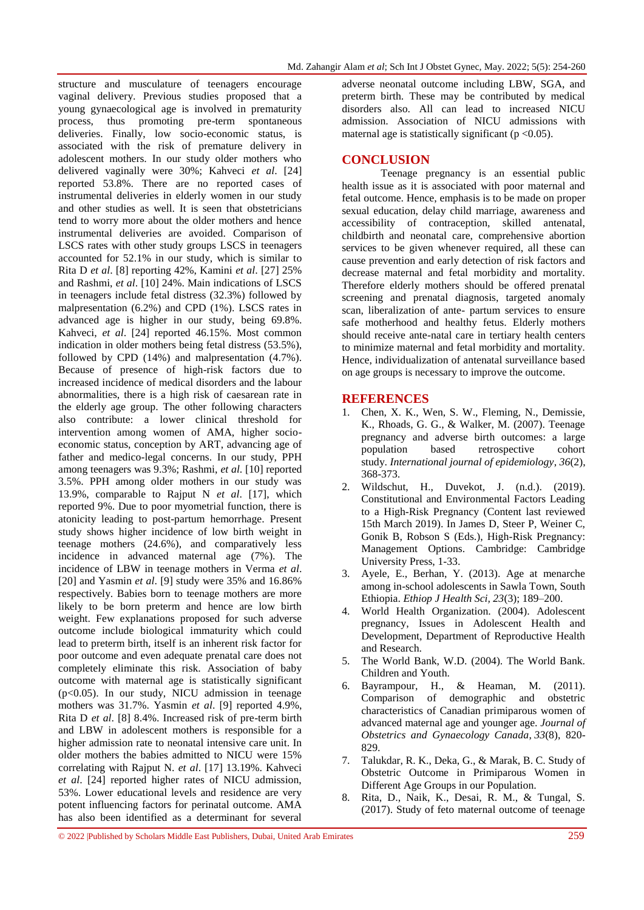structure and musculature of teenagers encourage vaginal delivery. Previous studies proposed that a young gynaecological age is involved in prematurity process, thus promoting pre-term spontaneous deliveries. Finally, low socio-economic status, is associated with the risk of premature delivery in adolescent mothers. In our study older mothers who delivered vaginally were 30%; Kahveci *et al*. [24] reported 53.8%. There are no reported cases of instrumental deliveries in elderly women in our study and other studies as well. It is seen that obstetricians tend to worry more about the older mothers and hence instrumental deliveries are avoided. Comparison of LSCS rates with other study groups LSCS in teenagers accounted for 52.1% in our study, which is similar to Rita D *et al*. [8] reporting 42%, Kamini *et al*. [27] 25% and Rashmi, *et al*. [10] 24%. Main indications of LSCS in teenagers include fetal distress (32.3%) followed by malpresentation (6.2%) and CPD (1%). LSCS rates in advanced age is higher in our study, being 69.8%. Kahveci, *et al*. [24] reported 46.15%. Most common indication in older mothers being fetal distress (53.5%), followed by CPD (14%) and malpresentation (4.7%). Because of presence of high-risk factors due to increased incidence of medical disorders and the labour abnormalities, there is a high risk of caesarean rate in the elderly age group. The other following characters also contribute: a lower clinical threshold for intervention among women of AMA, higher socioeconomic status, conception by ART, advancing age of father and medico-legal concerns. In our study, PPH among teenagers was 9.3%; Rashmi, *et al*. [10] reported 3.5%. PPH among older mothers in our study was 13.9%, comparable to Rajput N *et al*. [17], which reported 9%. Due to poor myometrial function, there is atonicity leading to post-partum hemorrhage. Present study shows higher incidence of low birth weight in teenage mothers (24.6%), and comparatively less incidence in advanced maternal age (7%). The incidence of LBW in teenage mothers in Verma *et al*. [20] and Yasmin *et al*. [9] study were 35% and 16.86% respectively. Babies born to teenage mothers are more likely to be born preterm and hence are low birth weight. Few explanations proposed for such adverse outcome include biological immaturity which could lead to preterm birth, itself is an inherent risk factor for poor outcome and even adequate prenatal care does not completely eliminate this risk. Association of baby outcome with maternal age is statistically significant  $(p<0.05)$ . In our study, NICU admission in teenage mothers was 31.7%. Yasmin *et al*. [9] reported 4.9%, Rita D *et al*. [8] 8.4%. Increased risk of pre-term birth and LBW in adolescent mothers is responsible for a higher admission rate to neonatal intensive care unit. In older mothers the babies admitted to NICU were 15% correlating with Rajput N. *et al*. [17] 13.19%. Kahveci *et al*. [24] reported higher rates of NICU admission, 53%. Lower educational levels and residence are very potent influencing factors for perinatal outcome. AMA has also been identified as a determinant for several

adverse neonatal outcome including LBW, SGA, and preterm birth. These may be contributed by medical disorders also. All can lead to increased NICU admission. Association of NICU admissions with maternal age is statistically significant ( $p < 0.05$ ).

# **CONCLUSION**

Teenage pregnancy is an essential public health issue as it is associated with poor maternal and fetal outcome. Hence, emphasis is to be made on proper sexual education, delay child marriage, awareness and accessibility of contraception, skilled antenatal, childbirth and neonatal care, comprehensive abortion services to be given whenever required, all these can cause prevention and early detection of risk factors and decrease maternal and fetal morbidity and mortality. Therefore elderly mothers should be offered prenatal screening and prenatal diagnosis, targeted anomaly scan, liberalization of ante- partum services to ensure safe motherhood and healthy fetus. Elderly mothers should receive ante-natal care in tertiary health centers to minimize maternal and fetal morbidity and mortality. Hence, individualization of antenatal surveillance based on age groups is necessary to improve the outcome.

## **REFERENCES**

- 1. Chen, X. K., Wen, S. W., Fleming, N., Demissie, K., Rhoads, G. G., & Walker, M. (2007). Teenage pregnancy and adverse birth outcomes: a large population based retrospective cohort study. *International journal of epidemiology*, *36*(2), 368-373.
- 2. Wildschut, H., Duvekot, J. (n.d.). (2019). Constitutional and Environmental Factors Leading to a High-Risk Pregnancy (Content last reviewed 15th March 2019). In James D, Steer P, Weiner C, Gonik B, Robson S (Eds.), High-Risk Pregnancy: Management Options. Cambridge: Cambridge University Press, 1-33.
- 3. Ayele, E., Berhan, Y. (2013). Age at menarche among in-school adolescents in Sawla Town, South Ethiopia. *Ethiop J Health Sci, 23*(3); 189–200.
- 4. World Health Organization. (2004). Adolescent pregnancy, Issues in Adolescent Health and Development, Department of Reproductive Health and Research.
- 5. The World Bank, W.D. (2004). The World Bank. Children and Youth.
- 6. Bayrampour, H., & Heaman, M. (2011). Comparison of demographic and obstetric characteristics of Canadian primiparous women of advanced maternal age and younger age. *Journal of Obstetrics and Gynaecology Canada*, *33*(8), 820- 829.
- 7. Talukdar, R. K., Deka, G., & Marak, B. C. Study of Obstetric Outcome in Primiparous Women in Different Age Groups in our Population.
- 8. Rita, D., Naik, K., Desai, R. M., & Tungal, S. (2017). Study of feto maternal outcome of teenage